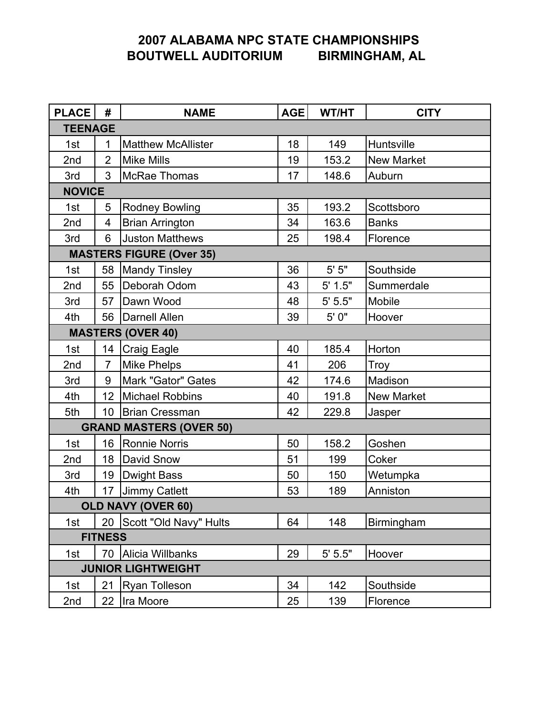# 2007 ALABAMA NPC STATE CHAMPIONSHIPS BOUTWELL AUDITORIUM BIRMINGHAM, AL

| PLACE                          | #               | <b>NAME</b>                     | AGE | WT/HT   | <b>CITY</b>       |  |
|--------------------------------|-----------------|---------------------------------|-----|---------|-------------------|--|
| <b>TEENAGE</b>                 |                 |                                 |     |         |                   |  |
| 1st                            | 1               | <b>Matthew McAllister</b>       | 18  | 149     | Huntsville        |  |
| 2nd                            | $\overline{2}$  | <b>Mike Mills</b>               | 19  | 153.2   | <b>New Market</b> |  |
| 3rd                            | 3               | McRae Thomas                    | 17  | 148.6   | Auburn            |  |
|                                | <b>NOVICE</b>   |                                 |     |         |                   |  |
| 1st                            | 5               | <b>Rodney Bowling</b>           | 35  | 193.2   | Scottsboro        |  |
| 2nd                            | 4               | <b>Brian Arrington</b>          | 34  | 163.6   | <b>Banks</b>      |  |
| 3rd                            | 6               | <b>Juston Matthews</b>          | 25  | 198.4   | Florence          |  |
|                                |                 | <b>MASTERS FIGURE (Over 35)</b> |     |         |                   |  |
| 1st                            | 58              | <b>Mandy Tinsley</b>            | 36  | $5' 5"$ | Southside         |  |
| 2nd                            | 55              | Deborah Odom                    | 43  | 5' 1.5" | Summerdale        |  |
| 3rd                            |                 | 57 Dawn Wood                    | 48  | 5' 5.5" | Mobile            |  |
| 4th                            |                 | 56   Darnell Allen              | 39  | 5' 0"   | Hoover            |  |
| <b>MASTERS (OVER 40)</b>       |                 |                                 |     |         |                   |  |
| 1st                            |                 | 14   Craig Eagle                | 40  | 185.4   | Horton            |  |
| 2nd                            | $\overline{7}$  | <b>Mike Phelps</b>              | 41  | 206     | Troy              |  |
| 3rd                            | 9               | Mark "Gator" Gates              | 42  | 174.6   | Madison           |  |
| 4th                            | 12 <sub>2</sub> | Michael Robbins                 | 40  | 191.8   | <b>New Market</b> |  |
| 5th                            | 10              | Brian Cressman                  | 42  | 229.8   | Jasper            |  |
| <b>GRAND MASTERS (OVER 50)</b> |                 |                                 |     |         |                   |  |
| 1st                            | 16              | Ronnie Norris                   | 50  | 158.2   | Goshen            |  |
| 2nd                            |                 | 18 David Snow                   | 51  | 199     | Coker             |  |
| 3rd                            | 19              | Dwight Bass                     | 50  | 150     | Wetumpka          |  |
| 4th                            |                 | 17 Jimmy Catlett                | 53  | 189     | Anniston          |  |
| <b>OLD NAVY (OVER 60)</b>      |                 |                                 |     |         |                   |  |
| 1st                            |                 | 20 Scott "Old Navy" Hults       | 64  | 148     | Birmingham        |  |
| <b>FITNESS</b>                 |                 |                                 |     |         |                   |  |
| 1st                            |                 | 70 Alicia Willbanks             | 29  | 5' 5.5" | Hoover            |  |
| <b>JUNIOR LIGHTWEIGHT</b>      |                 |                                 |     |         |                   |  |
| 1st                            | 21              | <b>Ryan Tolleson</b>            | 34  | 142     | Southside         |  |
| 2nd                            | 22              | Ira Moore                       | 25  | 139     | Florence          |  |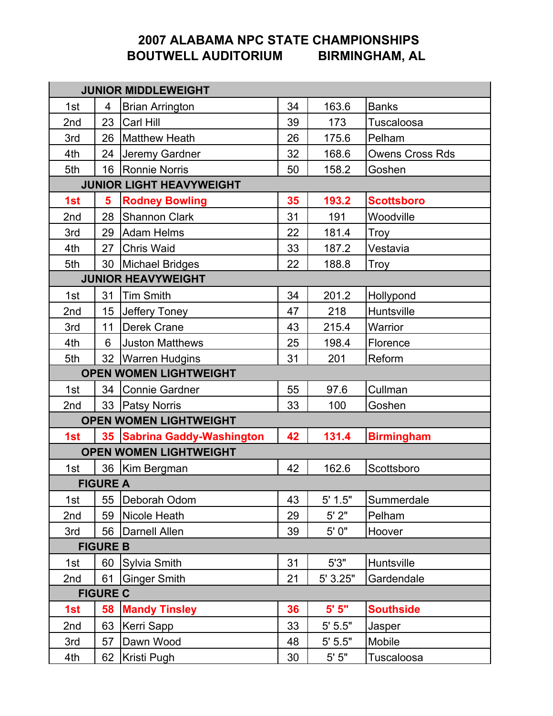# 2007 ALABAMA NPC STATE CHAMPIONSHIPS<br>OUTWELL AUDITORIUM BIRMINGHAM, AL BOUTWELL AUDITORIUM

| <b>JUNIOR MIDDLEWEIGHT</b>    |                 |                                 |    |          |                        |
|-------------------------------|-----------------|---------------------------------|----|----------|------------------------|
| 1st                           | 4               | <b>Brian Arrington</b>          | 34 | 163.6    | <b>Banks</b>           |
| 2nd                           |                 | 23 Carl Hill                    | 39 | 173      | Tuscaloosa             |
| 3rd                           |                 | 26   Matthew Heath              | 26 | 175.6    | Pelham                 |
| 4th                           |                 | 24 Jeremy Gardner               | 32 | 168.6    | <b>Owens Cross Rds</b> |
| 5th                           |                 | 16 Ronnie Norris                | 50 | 158.2    | Goshen                 |
|                               |                 | <b>JUNIOR LIGHT HEAVYWEIGHT</b> |    |          |                        |
| 1st                           | 5               | <b>Rodney Bowling</b>           | 35 | 193.2    | <b>Scottsboro</b>      |
| 2nd                           | 28              | <b>Shannon Clark</b>            | 31 | 191      | Woodville              |
| 3rd                           |                 | 29 Adam Helms                   | 22 | 181.4    | Troy                   |
| 4th                           |                 | 27 Chris Waid                   | 33 | 187.2    | Vestavia               |
| 5th                           |                 | 30   Michael Bridges            | 22 | 188.8    | <b>Troy</b>            |
|                               |                 | <b>JUNIOR HEAVYWEIGHT</b>       |    |          |                        |
| 1st                           | 31              | <b>Tim Smith</b>                | 34 | 201.2    | Hollypond              |
| 2nd                           | 15 <sub>1</sub> | Jeffery Toney                   | 47 | 218      | Huntsville             |
| 3rd                           | 11              | <b>Derek Crane</b>              | 43 | 215.4    | Warrior                |
| 4th                           | 6               | <b>Juston Matthews</b>          | 25 | 198.4    | Florence               |
| 5th                           |                 | 32 Warren Hudgins               | 31 | 201      | Reform                 |
|                               |                 | <b>OPEN WOMEN LIGHTWEIGHT</b>   |    |          |                        |
| 1st                           |                 | 34 Connie Gardner               | 55 | 97.6     | Cullman                |
| 2nd                           |                 | 33 Patsy Norris                 | 33 | 100      | Goshen                 |
| <b>OPEN WOMEN LIGHTWEIGHT</b> |                 |                                 |    |          |                        |
| 1st                           |                 | 35 Sabrina Gaddy-Washington     | 42 | 131.4    | <b>Birmingham</b>      |
| <b>OPEN WOMEN LIGHTWEIGHT</b> |                 |                                 |    |          |                        |
| 1st                           |                 | 36   Kim Bergman                | 42 | 162.6    | Scottsboro             |
| <b>FIGURE A</b>               |                 |                                 |    |          |                        |
| 1st                           | 55              | Deborah Odom                    | 43 | 5' 1.5"  | Summerdale             |
| 2nd                           | 59              | Nicole Heath                    | 29 | 5'2"     | Pelham                 |
| 3rd                           | 56              | Darnell Allen                   | 39 | 5'0''    | Hoover                 |
| <b>FIGURE B</b>               |                 |                                 |    |          |                        |
| 1st                           | 60              | Sylvia Smith                    | 31 | 5'3"     | Huntsville             |
| 2nd                           | 61              | <b>Ginger Smith</b>             | 21 | 5' 3.25" | Gardendale             |
| <b>FIGURE C</b>               |                 |                                 |    |          |                        |
| 1st                           | 58              | <b>Mandy Tinsley</b>            | 36 | 5'5''    | <b>Southside</b>       |
| 2nd                           | 63              | Kerri Sapp                      | 33 | 5' 5.5"  | Jasper                 |
| 3rd                           | 57              | Dawn Wood                       | 48 | 5' 5.5"  | Mobile                 |
| 4th                           | 62              | Kristi Pugh                     | 30 | $5' 5"$  | Tuscaloosa             |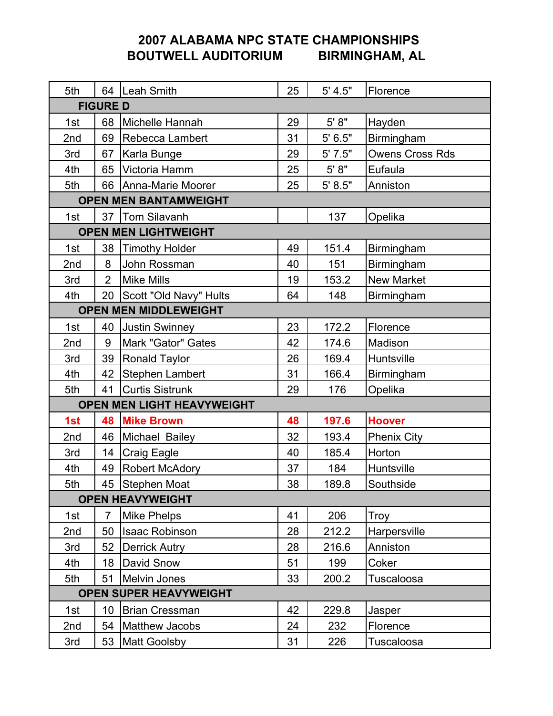# 2007 ALABAMA NPC STATE CHAMPIONSHIPS<br>OUTWELL AUDITORIUM BIRMINGHAM, AL BOUTWELL AUDITORIUM

| 5th                           |                 | 64 Leah Smith                | 25 | 5' 4.5" | Florence               |
|-------------------------------|-----------------|------------------------------|----|---------|------------------------|
| <b>FIGURE D</b>               |                 |                              |    |         |                        |
| 1st                           | 68              | Michelle Hannah              | 29 | 5' 8"   | Hayden                 |
| 2nd                           | 69              | Rebecca Lambert              | 31 | 5' 6.5" | Birmingham             |
| 3rd                           | 67              | Karla Bunge                  | 29 | 5'7.5"  | <b>Owens Cross Rds</b> |
| 4th                           | 65              | Victoria Hamm                | 25 | $5' 8"$ | Eufaula                |
| 5th                           |                 | 66   Anna-Marie Moorer       | 25 | 5' 8.5" | Anniston               |
| <b>OPEN MEN BANTAMWEIGHT</b>  |                 |                              |    |         |                        |
| 1st                           |                 | 37   Tom Silavanh            |    | 137     | Opelika                |
| <b>OPEN MEN LIGHTWEIGHT</b>   |                 |                              |    |         |                        |
| 1st                           | 38              | <b>Timothy Holder</b>        | 49 | 151.4   | Birmingham             |
| 2nd                           | 8               | John Rossman                 | 40 | 151     | Birmingham             |
| 3rd                           | 2               | <b>Mike Mills</b>            | 19 | 153.2   | <b>New Market</b>      |
| 4th                           |                 | 20   Scott "Old Navy" Hults  | 64 | 148     | Birmingham             |
|                               |                 | <b>OPEN MEN MIDDLEWEIGHT</b> |    |         |                        |
| 1st                           |                 | 40 Justin Swinney            | 23 | 172.2   | Florence               |
| 2nd                           | 9               | Mark "Gator" Gates           | 42 | 174.6   | Madison                |
| 3rd                           | 39              | <b>Ronald Taylor</b>         | 26 | 169.4   | Huntsville             |
| 4th                           | 42              | Stephen Lambert              | 31 | 166.4   | Birmingham             |
| 5th                           | 41              | <b>Curtis Sistrunk</b>       | 29 | 176     | Opelika                |
|                               |                 | OPEN MEN LIGHT HEAVYWEIGHT   |    |         |                        |
| 1st                           |                 | <b>48 Mike Brown</b>         | 48 | 197.6   | <b>Hoover</b>          |
| 2nd                           |                 | 46 Michael Bailey            | 32 | 193.4   | <b>Phenix City</b>     |
| 3rd                           | 14              | <b>Craig Eagle</b>           | 40 | 185.4   | Horton                 |
| 4th                           | 49              | Robert McAdory               | 37 | 184     | Huntsville             |
| 5th                           |                 | 45 Stephen Moat              | 38 | 189.8   | Southside              |
| <b>OPEN HEAVYWEIGHT</b>       |                 |                              |    |         |                        |
| 1st                           | $\overline{7}$  | Mike Phelps                  | 41 | 206     | Troy                   |
| 2nd                           |                 | 50   Isaac Robinson          | 28 | 212.2   | Harpersville           |
| 3rd                           |                 | 52 Derrick Autry             | 28 | 216.6   | Anniston               |
| 4th                           |                 | 18 David Snow                | 51 | 199     | Coker                  |
| 5th                           |                 | 51 Melvin Jones              | 33 | 200.2   | Tuscaloosa             |
| <b>OPEN SUPER HEAVYWEIGHT</b> |                 |                              |    |         |                        |
| 1st                           | 10 <sup>°</sup> | Brian Cressman               | 42 | 229.8   | Jasper                 |
| 2nd                           | 54              | Matthew Jacobs               | 24 | 232     | Florence               |
| 3rd                           | 53              | <b>Matt Goolsby</b>          | 31 | 226     | Tuscaloosa             |